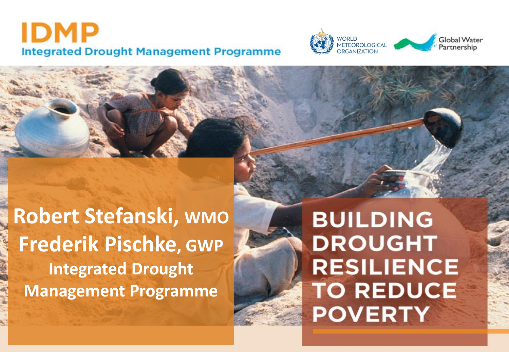## IDMP **Integrated Drought Management Programme**



**Robert Stefanski, WMO Frederik Pischke, GWP Integrated Drought Management Programme**

**BUILDING DROUGHT RESILIENCE TO REDUCE POVERTY**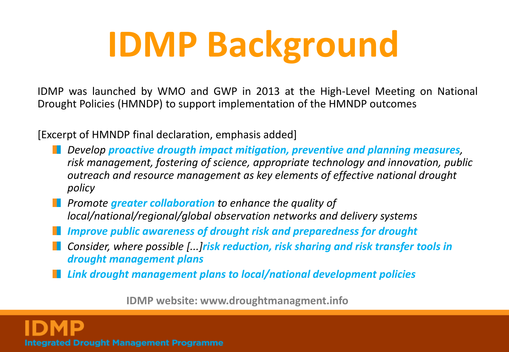# **IDMP Background**

IDMP was launched by WMO and GWP in 2013 at the High-Level Meeting on National Drought Policies (HMNDP) to support implementation of the HMNDP outcomes

[Excerpt of HMNDP final declaration, emphasis added]

- *Develop proactive drougth impact mitigation, preventive and planning measures, risk management, fostering of science, appropriate technology and innovation, public outreach and resource management as key elements of effective national drought policy*
- **Promote greater collaboration** to enhance the quality of *local/national/regional/global observation networks and delivery systems*
- *Improve public awareness of drought risk and preparedness for drought*
- *Consider, where possible [...]risk reduction, risk sharing and risk transfer tools in drought management plans*
- *Link drought management plans to local/national development policies*

**IDMP website: www.droughtmanagment.info**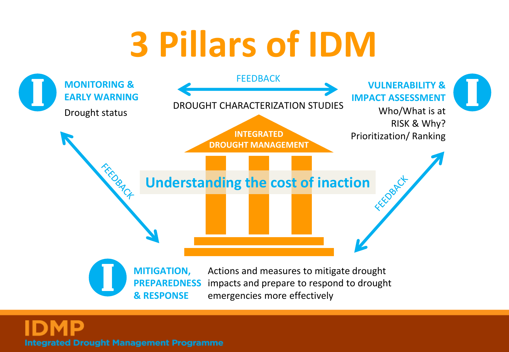# **3 Pillars of IDM**

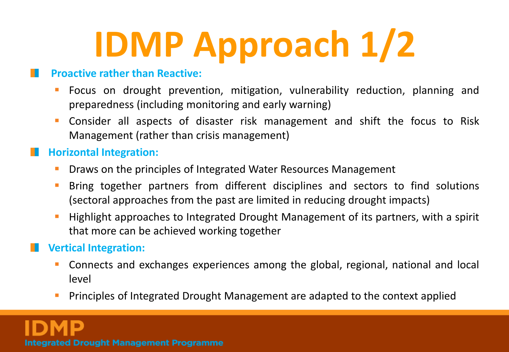# **IDMP Approach 1/2**

### **Proactive rather than Reactive:**

- Focus on drought prevention, mitigation, vulnerability reduction, planning and preparedness (including monitoring and early warning)
- Consider all aspects of disaster risk management and shift the focus to Risk Management (rather than crisis management)

## **Horizontal Integration:**

- Draws on the principles of Integrated Water Resources Management
- Bring together partners from different disciplines and sectors to find solutions (sectoral approaches from the past are limited in reducing drought impacts)
- Highlight approaches to Integrated Drought Management of its partners, with a spirit that more can be achieved working together

## **Vertical Integration:**

- Connects and exchanges experiences among the global, regional, national and local level
- Principles of Integrated Drought Management are adapted to the context applied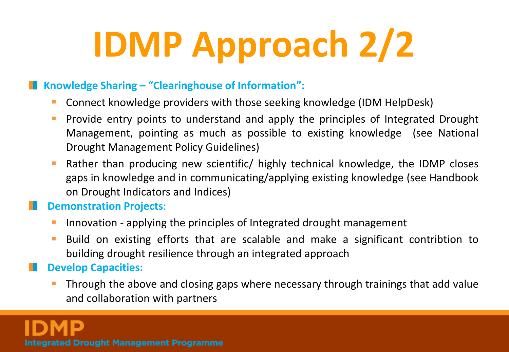# **IDMP Approach 2/2**

### **Knowledge Sharing – "Clearinghouse of Information":**

- Connect knowledge providers with those seeking knowledge (IDM HelpDesk)
- Provide entry points to understand and apply the principles of Integrated Drought Management, pointing as much as possible to existing knowledge (see National Drought Management Policy Guidelines)
- **Rather than producing new scientific/ highly technical knowledge, the IDMP closes** gaps in knowledge and in communicating/applying existing knowledge (see Handbook on Drought Indicators and Indices)

### **Demonstration Projects**: M.

- Innovation applying the principles of Integrated drought management
- Build on existing efforts that are scalable and make a significant contribtion to building drought resilience through an integrated approach

## **Develop Capacities:**

 Through the above and closing gaps where necessary through trainings that add value and collaboration with partners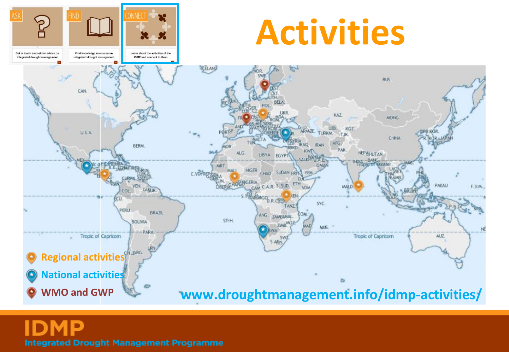# **Activities**

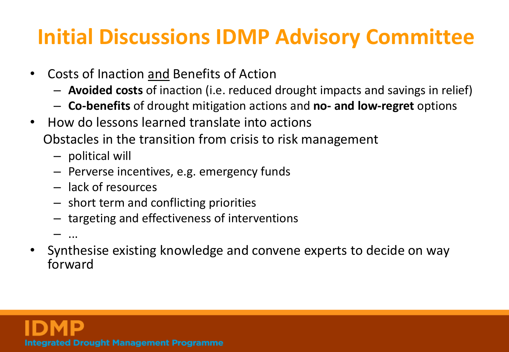## **Initial Discussions IDMP Advisory Committee**

- Costs of Inaction and Benefits of Action
	- **Avoided costs** of inaction (i.e. reduced drought impacts and savings in relief)
	- **Co-benefits** of drought mitigation actions and **no- and low-regret** options
- How do lessons learned translate into actions

Obstacles in the transition from crisis to risk management

- political will
- Perverse incentives, e.g. emergency funds
- lack of resources
- short term and conflicting priorities
- targeting and effectiveness of interventions

– ...

• Synthesise existing knowledge and convene experts to decide on way forward

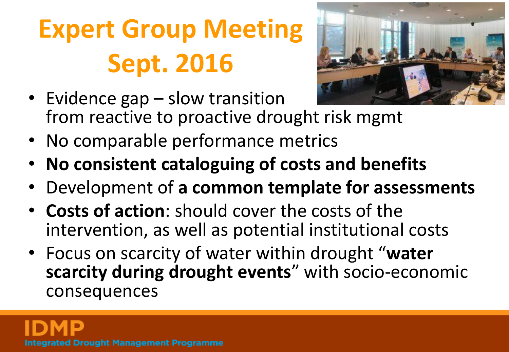## **Expert Group Meeting Sept. 2016**



- Evidence gap slow transition from reactive to proactive drought risk mgmt
- No comparable performance metrics
- **No consistent cataloguing of costs and benefits**
- Development of **a common template for assessments**
- **Costs of action**: should cover the costs of the intervention, as well as potential institutional costs
- Focus on scarcity of water within drought "**water scarcity during drought events**" with socio-economic consequences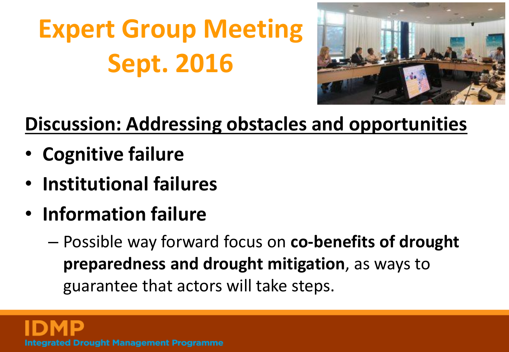**Expert Group Meeting Sept. 2016**



## **Discussion: Addressing obstacles and opportunities**

- **Cognitive failure**
- **Institutional failures**
- **Information failure**
	- Possible way forward focus on **co-benefits of drought preparedness and drought mitigation**, as ways to guarantee that actors will take steps.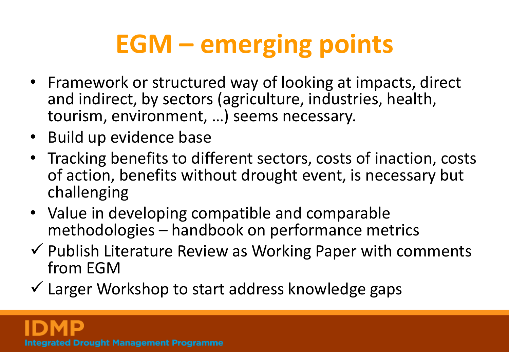## **EGM – emerging points**

- Framework or structured way of looking at impacts, direct and indirect, by sectors (agriculture, industries, health, tourism, environment, …) seems necessary.
- Build up evidence base
- Tracking benefits to different sectors, costs of inaction, costs of action, benefits without drought event, is necessary but challenging
- Value in developing compatible and comparable methodologies – handbook on performance metrics
- $\checkmark$  Publish Literature Review as Working Paper with comments from EGM
- $\checkmark$  Larger Workshop to start address knowledge gaps